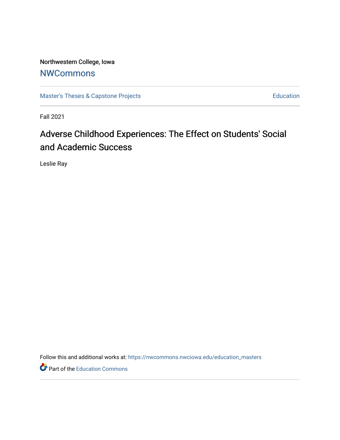Northwestern College, Iowa **[NWCommons](https://nwcommons.nwciowa.edu/)** 

[Master's Theses & Capstone Projects](https://nwcommons.nwciowa.edu/education_masters) **Education** Education

Fall 2021

# Adverse Childhood Experiences: The Effect on Students' Social and Academic Success

Leslie Ray

Follow this and additional works at: [https://nwcommons.nwciowa.edu/education\\_masters](https://nwcommons.nwciowa.edu/education_masters?utm_source=nwcommons.nwciowa.edu%2Feducation_masters%2F376&utm_medium=PDF&utm_campaign=PDFCoverPages)

Part of the [Education Commons](http://network.bepress.com/hgg/discipline/784?utm_source=nwcommons.nwciowa.edu%2Feducation_masters%2F376&utm_medium=PDF&utm_campaign=PDFCoverPages)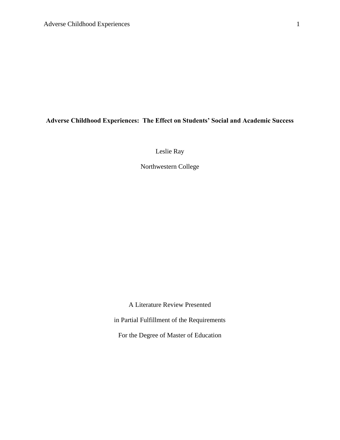# **Adverse Childhood Experiences: The Effect on Students' Social and Academic Success**

Leslie Ray

Northwestern College

A Literature Review Presented

in Partial Fulfillment of the Requirements

For the Degree of Master of Education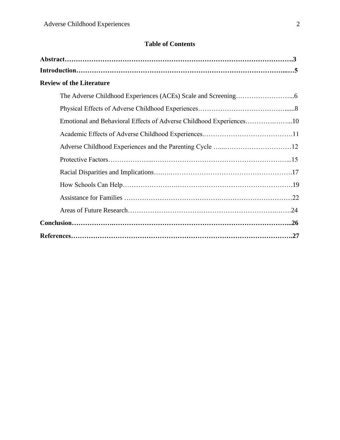# **Table of Contents**

| <b>Review of the Literature</b>                                     |  |
|---------------------------------------------------------------------|--|
|                                                                     |  |
|                                                                     |  |
| Emotional and Behavioral Effects of Adverse Childhood Experiences10 |  |
|                                                                     |  |
|                                                                     |  |
|                                                                     |  |
|                                                                     |  |
|                                                                     |  |
|                                                                     |  |
|                                                                     |  |
|                                                                     |  |
|                                                                     |  |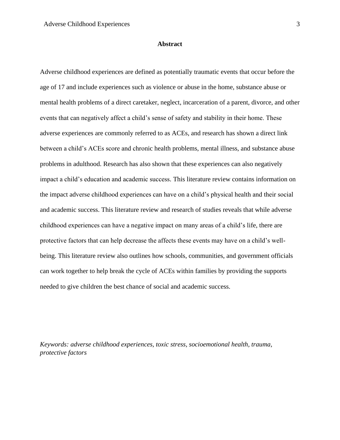#### **Abstract**

Adverse childhood experiences are defined as potentially traumatic events that occur before the age of 17 and include experiences such as violence or abuse in the home, substance abuse or mental health problems of a direct caretaker, neglect, incarceration of a parent, divorce, and other events that can negatively affect a child's sense of safety and stability in their home. These adverse experiences are commonly referred to as ACEs, and research has shown a direct link between a child's ACEs score and chronic health problems, mental illness, and substance abuse problems in adulthood. Research has also shown that these experiences can also negatively impact a child's education and academic success. This literature review contains information on the impact adverse childhood experiences can have on a child's physical health and their social and academic success. This literature review and research of studies reveals that while adverse childhood experiences can have a negative impact on many areas of a child's life, there are protective factors that can help decrease the affects these events may have on a child's wellbeing. This literature review also outlines how schools, communities, and government officials can work together to help break the cycle of ACEs within families by providing the supports needed to give children the best chance of social and academic success.

*Keywords: adverse childhood experiences, toxic stress, socioemotional health, trauma, protective factors*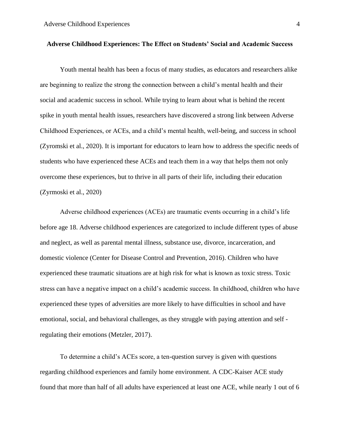# **Adverse Childhood Experiences: The Effect on Students' Social and Academic Success**

Youth mental health has been a focus of many studies, as educators and researchers alike are beginning to realize the strong the connection between a child's mental health and their social and academic success in school. While trying to learn about what is behind the recent spike in youth mental health issues, researchers have discovered a strong link between Adverse Childhood Experiences, or ACEs, and a child's mental health, well-being, and success in school (Zyromski et al., 2020). It is important for educators to learn how to address the specific needs of students who have experienced these ACEs and teach them in a way that helps them not only overcome these experiences, but to thrive in all parts of their life, including their education (Zyrmoski et al., 2020)

Adverse childhood experiences (ACEs) are traumatic events occurring in a child's life before age 18. Adverse childhood experiences are categorized to include different types of abuse and neglect, as well as parental mental illness, substance use, divorce, incarceration, and domestic violence (Center for Disease Control and Prevention, 2016). Children who have experienced these traumatic situations are at high risk for what is known as toxic stress. Toxic stress can have a negative impact on a child's academic success. In childhood, children who have experienced these types of adversities are more likely to have difficulties in school and have emotional, social, and behavioral challenges, as they struggle with paying attention and self regulating their emotions (Metzler, 2017).

To determine a child's ACEs score, a ten-question survey is given with questions regarding childhood experiences and family home environment. A CDC-Kaiser ACE study found that more than half of all adults have experienced at least one ACE, while nearly 1 out of 6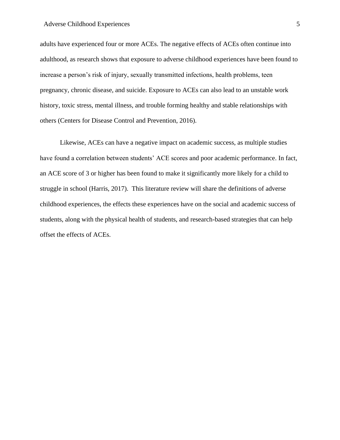#### Adverse Childhood Experiences 5

adults have experienced four or more ACEs. The negative effects of ACEs often continue into adulthood, as research shows that exposure to adverse childhood experiences have been found to increase a person's risk of injury, sexually transmitted infections, health problems, teen pregnancy, chronic disease, and suicide. Exposure to ACEs can also lead to an unstable work history, toxic stress, mental illness, and trouble forming healthy and stable relationships with others (Centers for Disease Control and Prevention, 2016).

Likewise, ACEs can have a negative impact on academic success, as multiple studies have found a correlation between students' ACE scores and poor academic performance. In fact, an ACE score of 3 or higher has been found to make it significantly more likely for a child to struggle in school (Harris, 2017). This literature review will share the definitions of adverse childhood experiences, the effects these experiences have on the social and academic success of students, along with the physical health of students, and research-based strategies that can help offset the effects of ACEs.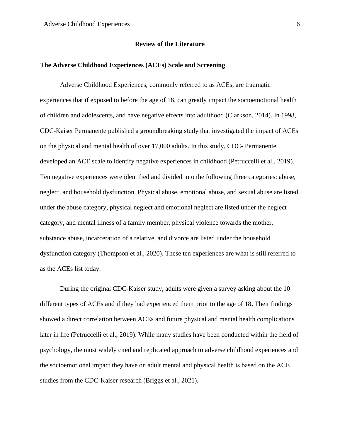#### **Review of the Literature**

#### **The Adverse Childhood Experiences (ACEs) Scale and Screening**

Adverse Childhood Experiences, commonly referred to as ACEs, are traumatic experiences that if exposed to before the age of 18, can greatly impact the socioemotional health of children and adolescents, and have negative effects into adulthood (Clarkson, 2014). In 1998, CDC-Kaiser Permanente published a groundbreaking study that investigated the impact of ACEs on the physical and mental health of over 17,000 adults. In this study, CDC- Permanente developed an ACE scale to identify negative experiences in childhood (Petruccelli et al., 2019). Ten negative experiences were identified and divided into the following three categories: abuse, neglect, and household dysfunction. Physical abuse, emotional abuse, and sexual abuse are listed under the abuse category, physical neglect and emotional neglect are listed under the neglect category, and mental illness of a family member, physical violence towards the mother, substance abuse, incarceration of a relative, and divorce are listed under the household dysfunction category (Thompson et al., 2020). These ten experiences are what is still referred to as the ACEs list today.

During the original CDC-Kaiser study, adults were given a survey asking about the 10 different types of ACEs and if they had experienced them prior to the age of 18**.** Their findings showed a direct correlation between ACEs and future physical and mental health complications later in life (Petruccelli et al., 2019). While many studies have been conducted within the field of psychology, the most widely cited and replicated approach to adverse childhood experiences and the socioemotional impact they have on adult mental and physical health is based on the ACE studies from the CDC-Kaiser research (Briggs et al., 2021).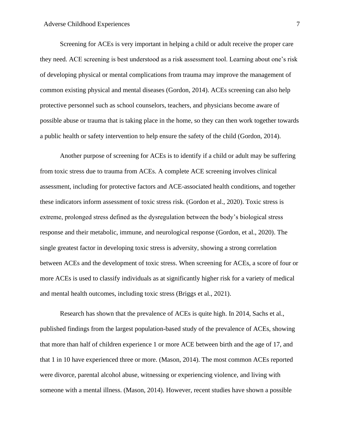Screening for ACEs is very important in helping a child or adult receive the proper care they need. ACE screening is best understood as a risk assessment tool. Learning about one's risk of developing physical or mental complications from trauma may improve the management of common existing physical and mental diseases (Gordon, 2014). ACEs screening can also help protective personnel such as school counselors, teachers, and physicians become aware of possible abuse or trauma that is taking place in the home, so they can then work together towards a public health or safety intervention to help ensure the safety of the child (Gordon, 2014).

Another purpose of screening for ACEs is to identify if a child or adult may be suffering from toxic stress due to trauma from ACEs. A complete ACE screening involves clinical assessment, including for protective factors and ACE-associated health conditions, and together these indicators inform assessment of toxic stress risk. (Gordon et al., 2020). Toxic stress is extreme, prolonged stress defined as the dysregulation between the body's biological stress response and their metabolic, immune, and neurological response (Gordon, et al., 2020). The single greatest factor in developing toxic stress is adversity, showing a strong correlation between ACEs and the development of toxic stress. When screening for ACEs, a score of four or more ACEs is used to classify individuals as at significantly higher risk for a variety of medical and mental health outcomes, including toxic stress (Briggs et al., 2021).

Research has shown that the prevalence of ACEs is quite high. In 2014, Sachs et al., published findings from the largest population-based study of the prevalence of ACEs, showing that more than half of children experience 1 or more ACE between birth and the age of 17, and that 1 in 10 have experienced three or more. (Mason, 2014). The most common ACEs reported were divorce, parental alcohol abuse, witnessing or experiencing violence, and living with someone with a mental illness. (Mason, 2014). However, recent studies have shown a possible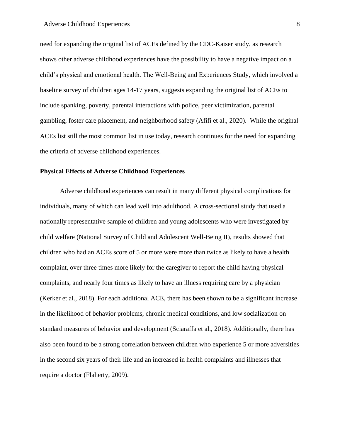#### Adverse Childhood Experiences 8

need for expanding the original list of ACEs defined by the CDC-Kaiser study, as research shows other adverse childhood experiences have the possibility to have a negative impact on a child's physical and emotional health. The Well-Being and Experiences Study, which involved a baseline survey of children ages 14-17 years, suggests expanding the original list of ACEs to include spanking, poverty, parental interactions with police, peer victimization, parental gambling, foster care placement, and neighborhood safety (Afifi et al., 2020). While the original ACEs list still the most common list in use today, research continues for the need for expanding the criteria of adverse childhood experiences.

# **Physical Effects of Adverse Childhood Experiences**

Adverse childhood experiences can result in many different physical complications for individuals, many of which can lead well into adulthood. A cross-sectional study that used a nationally representative sample of children and young adolescents who were investigated by child welfare (National Survey of Child and Adolescent Well-Being II), results showed that children who had an ACEs score of 5 or more were more than twice as likely to have a health complaint, over three times more likely for the caregiver to report the child having physical complaints, and nearly four times as likely to have an illness requiring care by a physician (Kerker et al., 2018). For each additional ACE, there has been shown to be a significant increase in the likelihood of behavior problems, chronic medical conditions, and low socialization on standard measures of behavior and development (Sciaraffa et al., 2018). Additionally, there has also been found to be a strong correlation between children who experience 5 or more adversities in the second six years of their life and an increased in health complaints and illnesses that require a doctor (Flaherty, 2009).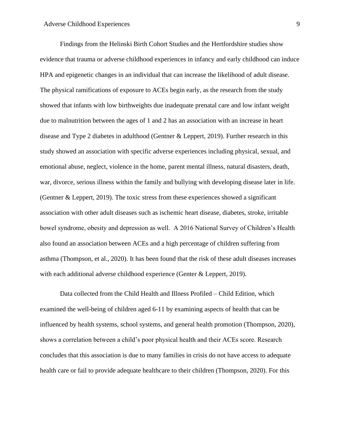Findings from the Helinski Birth Cohort Studies and the Hertfordshire studies show evidence that trauma or adverse childhood experiences in infancy and early childhood can induce HPA and epigenetic changes in an individual that can increase the likelihood of adult disease. The physical ramifications of exposure to ACEs begin early, as the research from the study showed that infants with low birthweights due inadequate prenatal care and low infant weight due to malnutrition between the ages of 1 and 2 has an association with an increase in heart disease and Type 2 diabetes in adulthood (Gentner & Leppert, 2019). Further research in this study showed an association with specific adverse experiences including physical, sexual, and emotional abuse, neglect, violence in the home, parent mental illness, natural disasters, death, war, divorce, serious illness within the family and bullying with developing disease later in life. (Gentner & Leppert, 2019). The toxic stress from these experiences showed a significant association with other adult diseases such as ischemic heart disease, diabetes, stroke, irritable bowel syndrome, obesity and depression as well. A 2016 National Survey of Children's Health also found an association between ACEs and a high percentage of children suffering from asthma (Thompson, et al., 2020). It has been found that the risk of these adult diseases increases with each additional adverse childhood experience (Genter & Leppert, 2019).

Data collected from the Child Health and Illness Profiled – Child Edition, which examined the well-being of children aged 6-11 by examining aspects of health that can be influenced by health systems, school systems, and general health promotion (Thompson, 2020), shows a correlation between a child's poor physical health and their ACEs score. Research concludes that this association is due to many families in crisis do not have access to adequate health care or fail to provide adequate healthcare to their children (Thompson, 2020). For this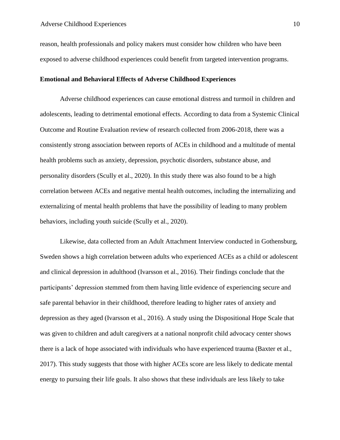reason, health professionals and policy makers must consider how children who have been exposed to adverse childhood experiences could benefit from targeted intervention programs.

#### **Emotional and Behavioral Effects of Adverse Childhood Experiences**

Adverse childhood experiences can cause emotional distress and turmoil in children and adolescents, leading to detrimental emotional effects. According to data from a Systemic Clinical Outcome and Routine Evaluation review of research collected from 2006-2018, there was a consistently strong association between reports of ACEs in childhood and a multitude of mental health problems such as anxiety, depression, psychotic disorders, substance abuse, and personality disorders (Scully et al., 2020). In this study there was also found to be a high correlation between ACEs and negative mental health outcomes, including the internalizing and externalizing of mental health problems that have the possibility of leading to many problem behaviors, including youth suicide (Scully et al., 2020).

Likewise, data collected from an Adult Attachment Interview conducted in Gothensburg, Sweden shows a high correlation between adults who experienced ACEs as a child or adolescent and clinical depression in adulthood (Ivarsson et al., 2016). Their findings conclude that the participants' depression stemmed from them having little evidence of experiencing secure and safe parental behavior in their childhood, therefore leading to higher rates of anxiety and depression as they aged (Ivarsson et al., 2016). A study using the Dispositional Hope Scale that was given to children and adult caregivers at a national nonprofit child advocacy center shows there is a lack of hope associated with individuals who have experienced trauma (Baxter et al., 2017). This study suggests that those with higher ACEs score are less likely to dedicate mental energy to pursuing their life goals. It also shows that these individuals are less likely to take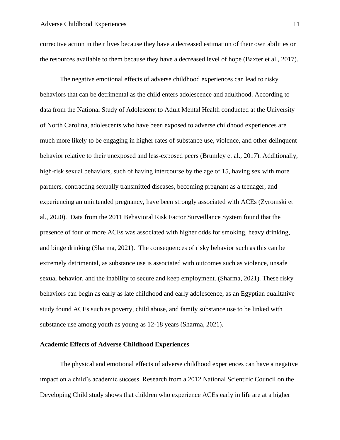corrective action in their lives because they have a decreased estimation of their own abilities or the resources available to them because they have a decreased level of hope (Baxter et al., 2017).

The negative emotional effects of adverse childhood experiences can lead to risky behaviors that can be detrimental as the child enters adolescence and adulthood. According to data from the National Study of Adolescent to Adult Mental Health conducted at the University of North Carolina, adolescents who have been exposed to adverse childhood experiences are much more likely to be engaging in higher rates of substance use, violence, and other delinquent behavior relative to their unexposed and less-exposed peers (Brumley et al., 2017). Additionally, high-risk sexual behaviors, such of having intercourse by the age of 15, having sex with more partners, contracting sexually transmitted diseases, becoming pregnant as a teenager, and experiencing an unintended pregnancy, have been strongly associated with ACEs (Zyromski et al., 2020). Data from the 2011 Behavioral Risk Factor Surveillance System found that the presence of four or more ACEs was associated with higher odds for smoking, heavy drinking, and binge drinking (Sharma, 2021). The consequences of risky behavior such as this can be extremely detrimental, as substance use is associated with outcomes such as violence, unsafe sexual behavior, and the inability to secure and keep employment. (Sharma, 2021). These risky behaviors can begin as early as late childhood and early adolescence, as an Egyptian qualitative study found ACEs such as poverty, child abuse, and family substance use to be linked with substance use among youth as young as 12-18 years (Sharma, 2021).

#### **Academic Effects of Adverse Childhood Experiences**

The physical and emotional effects of adverse childhood experiences can have a negative impact on a child's academic success. Research from a 2012 National Scientific Council on the Developing Child study shows that children who experience ACEs early in life are at a higher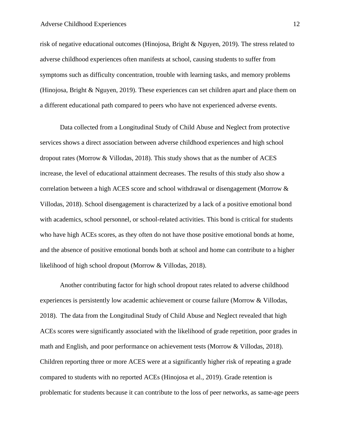#### Adverse Childhood Experiences 12

risk of negative educational outcomes (Hinojosa, Bright & Nguyen, 2019). The stress related to adverse childhood experiences often manifests at school, causing students to suffer from symptoms such as difficulty concentration, trouble with learning tasks, and memory problems (Hinojosa, Bright & Nguyen, 2019). These experiences can set children apart and place them on a different educational path compared to peers who have not experienced adverse events.

Data collected from a Longitudinal Study of Child Abuse and Neglect from protective services shows a direct association between adverse childhood experiences and high school dropout rates (Morrow & Villodas, 2018). This study shows that as the number of ACES increase, the level of educational attainment decreases. The results of this study also show a correlation between a high ACES score and school withdrawal or disengagement (Morrow & Villodas, 2018). School disengagement is characterized by a lack of a positive emotional bond with academics, school personnel, or school-related activities. This bond is critical for students who have high ACEs scores, as they often do not have those positive emotional bonds at home, and the absence of positive emotional bonds both at school and home can contribute to a higher likelihood of high school dropout (Morrow & Villodas, 2018).

Another contributing factor for high school dropout rates related to adverse childhood experiences is persistently low academic achievement or course failure (Morrow & Villodas, 2018). The data from the Longitudinal Study of Child Abuse and Neglect revealed that high ACEs scores were significantly associated with the likelihood of grade repetition, poor grades in math and English, and poor performance on achievement tests (Morrow & Villodas, 2018). Children reporting three or more ACES were at a significantly higher risk of repeating a grade compared to students with no reported ACEs (Hinojosa et al., 2019). Grade retention is problematic for students because it can contribute to the loss of peer networks, as same-age peers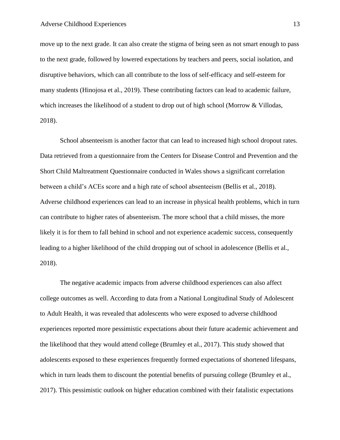move up to the next grade. It can also create the stigma of being seen as not smart enough to pass to the next grade, followed by lowered expectations by teachers and peers, social isolation, and disruptive behaviors, which can all contribute to the loss of self-efficacy and self-esteem for many students (Hinojosa et al., 2019). These contributing factors can lead to academic failure, which increases the likelihood of a student to drop out of high school (Morrow & Villodas, 2018).

School absenteeism is another factor that can lead to increased high school dropout rates. Data retrieved from a questionnaire from the Centers for Disease Control and Prevention and the Short Child Maltreatment Questionnaire conducted in Wales shows a significant correlation between a child's ACEs score and a high rate of school absenteeism (Bellis et al., 2018). Adverse childhood experiences can lead to an increase in physical health problems, which in turn can contribute to higher rates of absenteeism. The more school that a child misses, the more likely it is for them to fall behind in school and not experience academic success, consequently leading to a higher likelihood of the child dropping out of school in adolescence (Bellis et al., 2018).

The negative academic impacts from adverse childhood experiences can also affect college outcomes as well. According to data from a National Longitudinal Study of Adolescent to Adult Health, it was revealed that adolescents who were exposed to adverse childhood experiences reported more pessimistic expectations about their future academic achievement and the likelihood that they would attend college (Brumley et al., 2017). This study showed that adolescents exposed to these experiences frequently formed expectations of shortened lifespans, which in turn leads them to discount the potential benefits of pursuing college (Brumley et al., 2017). This pessimistic outlook on higher education combined with their fatalistic expectations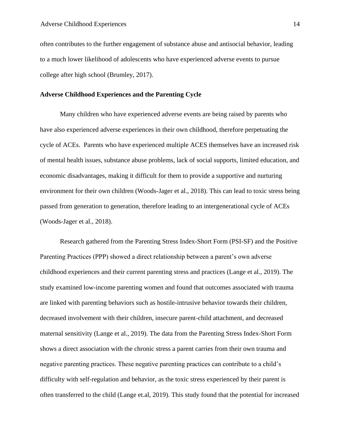often contributes to the further engagement of substance abuse and antisocial behavior, leading to a much lower likelihood of adolescents who have experienced adverse events to pursue college after high school (Brumley, 2017).

#### **Adverse Childhood Experiences and the Parenting Cycle**

Many children who have experienced adverse events are being raised by parents who have also experienced adverse experiences in their own childhood, therefore perpetuating the cycle of ACEs. Parents who have experienced multiple ACES themselves have an increased risk of mental health issues, substance abuse problems, lack of social supports, limited education, and economic disadvantages, making it difficult for them to provide a supportive and nurturing environment for their own children (Woods-Jager et al., 2018). This can lead to toxic stress being passed from generation to generation, therefore leading to an intergenerational cycle of ACEs (Woods-Jager et al., 2018).

Research gathered from the Parenting Stress Index-Short Form (PSI-SF) and the Positive Parenting Practices (PPP) showed a direct relationship between a parent's own adverse childhood experiences and their current parenting stress and practices (Lange et al., 2019). The study examined low-income parenting women and found that outcomes associated with trauma are linked with parenting behaviors such as hostile-intrusive behavior towards their children, decreased involvement with their children, insecure parent-child attachment, and decreased maternal sensitivity (Lange et al., 2019). The data from the Parenting Stress Index-Short Form shows a direct association with the chronic stress a parent carries from their own trauma and negative parenting practices. These negative parenting practices can contribute to a child's difficulty with self-regulation and behavior, as the toxic stress experienced by their parent is often transferred to the child (Lange et.al, 2019). This study found that the potential for increased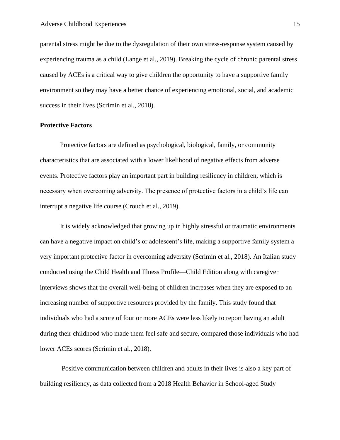parental stress might be due to the dysregulation of their own stress-response system caused by experiencing trauma as a child (Lange et al., 2019). Breaking the cycle of chronic parental stress caused by ACEs is a critical way to give children the opportunity to have a supportive family environment so they may have a better chance of experiencing emotional, social, and academic success in their lives (Scrimin et al., 2018).

# **Protective Factors**

Protective factors are defined as psychological, biological, family, or community characteristics that are associated with a lower likelihood of negative effects from adverse events. Protective factors play an important part in building resiliency in children, which is necessary when overcoming adversity. The presence of protective factors in a child's life can interrupt a negative life course (Crouch et al., 2019).

It is widely acknowledged that growing up in highly stressful or traumatic environments can have a negative impact on child's or adolescent's life, making a supportive family system a very important protective factor in overcoming adversity (Scrimin et al., 2018). An Italian study conducted using the Child Health and Illness Profile—Child Edition along with caregiver interviews shows that the overall well-being of children increases when they are exposed to an increasing number of supportive resources provided by the family. This study found that individuals who had a score of four or more ACEs were less likely to report having an adult during their childhood who made them feel safe and secure, compared those individuals who had lower ACEs scores (Scrimin et al., 2018).

Positive communication between children and adults in their lives is also a key part of building resiliency, as data collected from a 2018 Health Behavior in School-aged Study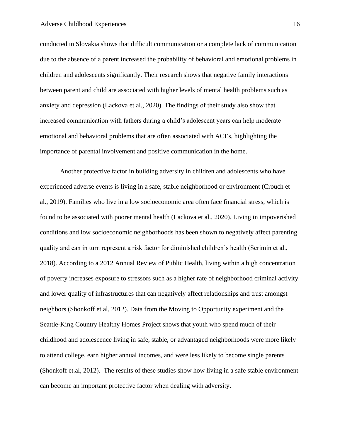#### Adverse Childhood Experiences 16

conducted in Slovakia shows that difficult communication or a complete lack of communication due to the absence of a parent increased the probability of behavioral and emotional problems in children and adolescents significantly. Their research shows that negative family interactions between parent and child are associated with higher levels of mental health problems such as anxiety and depression (Lackova et al., 2020). The findings of their study also show that increased communication with fathers during a child's adolescent years can help moderate emotional and behavioral problems that are often associated with ACEs, highlighting the importance of parental involvement and positive communication in the home.

Another protective factor in building adversity in children and adolescents who have experienced adverse events is living in a safe, stable neighborhood or environment (Crouch et al., 2019). Families who live in a low socioeconomic area often face financial stress, which is found to be associated with poorer mental health (Lackova et al., 2020). Living in impoverished conditions and low socioeconomic neighborhoods has been shown to negatively affect parenting quality and can in turn represent a risk factor for diminished children's health (Scrimin et al., 2018). According to a 2012 Annual Review of Public Health, living within a high concentration of poverty increases exposure to stressors such as a higher rate of neighborhood criminal activity and lower quality of infrastructures that can negatively affect relationships and trust amongst neighbors (Shonkoff et.al, 2012). Data from the Moving to Opportunity experiment and the Seattle-King Country Healthy Homes Project shows that youth who spend much of their childhood and adolescence living in safe, stable, or advantaged neighborhoods were more likely to attend college, earn higher annual incomes, and were less likely to become single parents (Shonkoff et.al, 2012). The results of these studies show how living in a safe stable environment can become an important protective factor when dealing with adversity.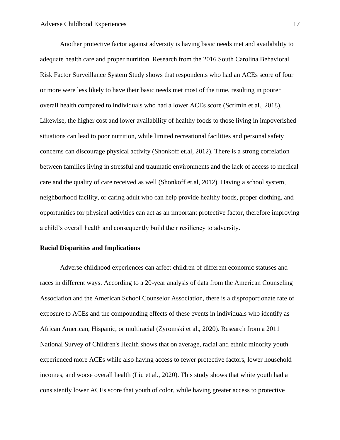Another protective factor against adversity is having basic needs met and availability to adequate health care and proper nutrition. Research from the 2016 South Carolina Behavioral Risk Factor Surveillance System Study shows that respondents who had an ACEs score of four or more were less likely to have their basic needs met most of the time, resulting in poorer overall health compared to individuals who had a lower ACEs score (Scrimin et al., 2018). Likewise, the higher cost and lower availability of healthy foods to those living in impoverished situations can lead to poor nutrition, while limited recreational facilities and personal safety concerns can discourage physical activity (Shonkoff et.al, 2012). There is a strong correlation between families living in stressful and traumatic environments and the lack of access to medical care and the quality of care received as well (Shonkoff et.al, 2012). Having a school system, neighborhood facility, or caring adult who can help provide healthy foods, proper clothing, and opportunities for physical activities can act as an important protective factor, therefore improving a child's overall health and consequently build their resiliency to adversity.

# **Racial Disparities and Implications**

Adverse childhood experiences can affect children of different economic statuses and races in different ways. According to a 20-year analysis of data from the American Counseling Association and the American School Counselor Association, there is a disproportionate rate of exposure to ACEs and the compounding effects of these events in individuals who identify as African American, Hispanic, or multiracial (Zyromski et al., 2020). Research from a 2011 National Survey of Children's Health shows that on average, racial and ethnic minority youth experienced more ACEs while also having access to fewer protective factors, lower household incomes, and worse overall health (Liu et al., 2020). This study shows that white youth had a consistently lower ACEs score that youth of color, while having greater access to protective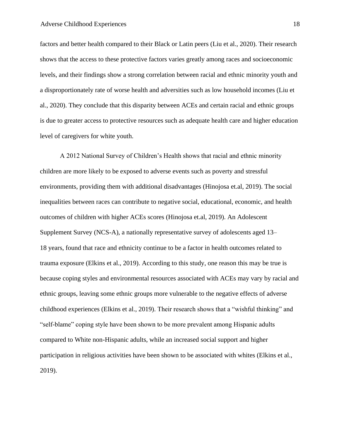factors and better health compared to their Black or Latin peers (Liu et al., 2020). Their research shows that the access to these protective factors varies greatly among races and socioeconomic levels, and their findings show a strong correlation between racial and ethnic minority youth and a disproportionately rate of worse health and adversities such as low household incomes (Liu et al., 2020). They conclude that this disparity between ACEs and certain racial and ethnic groups is due to greater access to protective resources such as adequate health care and higher education level of caregivers for white youth.

A 2012 National Survey of Children's Health shows that racial and ethnic minority children are more likely to be exposed to adverse events such as poverty and stressful environments, providing them with additional disadvantages (Hinojosa et.al, 2019). The social inequalities between races can contribute to negative social, educational, economic, and health outcomes of children with higher ACEs scores (Hinojosa et.al, 2019). An Adolescent Supplement Survey (NCS-A), a nationally representative survey of adolescents aged 13– 18 years, found that race and ethnicity continue to be a factor in health outcomes related to trauma exposure (Elkins et al., 2019). According to this study, one reason this may be true is because coping styles and environmental resources associated with ACEs may vary by racial and ethnic groups, leaving some ethnic groups more vulnerable to the negative effects of adverse childhood experiences (Elkins et al., 2019). Their research shows that a "wishful thinking" and "self-blame" coping style have been shown to be more prevalent among Hispanic adults compared to White non-Hispanic adults, while an increased social support and higher participation in religious activities have been shown to be associated with whites (Elkins et al., 2019).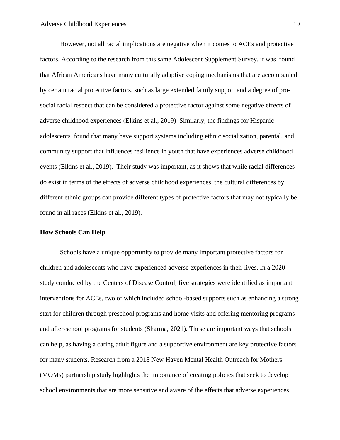However, not all racial implications are negative when it comes to ACEs and protective factors. According to the research from this same Adolescent Supplement Survey, it was found that African Americans have many culturally adaptive coping mechanisms that are accompanied by certain racial protective factors, such as large extended family support and a degree of prosocial racial respect that can be considered a protective factor against some negative effects of adverse childhood experiences (Elkins et al., 2019) Similarly, the findings for Hispanic adolescents found that many have support systems including ethnic socialization, parental, and community support that influences resilience in youth that have experiences adverse childhood events (Elkins et al., 2019). Their study was important, as it shows that while racial differences do exist in terms of the effects of adverse childhood experiences, the cultural differences by different ethnic groups can provide different types of protective factors that may not typically be found in all races (Elkins et al., 2019).

### **How Schools Can Help**

Schools have a unique opportunity to provide many important protective factors for children and adolescents who have experienced adverse experiences in their lives. In a 2020 study conducted by the Centers of Disease Control, five strategies were identified as important interventions for ACEs, two of which included school-based supports such as enhancing a strong start for children through preschool programs and home visits and offering mentoring programs and after-school programs for students (Sharma, 2021). These are important ways that schools can help, as having a caring adult figure and a supportive environment are key protective factors for many students. Research from a 2018 New Haven Mental Health Outreach for Mothers (MOMs) partnership study highlights the importance of creating policies that seek to develop school environments that are more sensitive and aware of the effects that adverse experiences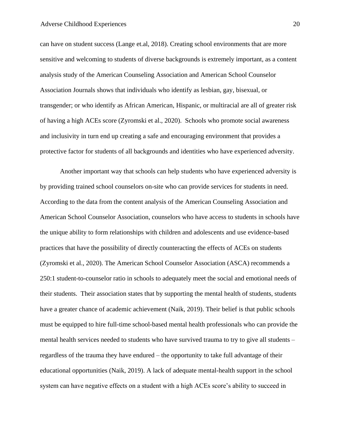#### Adverse Childhood Experiences 20

can have on student success (Lange et.al, 2018). Creating school environments that are more sensitive and welcoming to students of diverse backgrounds is extremely important, as a content analysis study of the American Counseling Association and American School Counselor Association Journals shows that individuals who identify as lesbian, gay, bisexual, or transgender; or who identify as African American, Hispanic, or multiracial are all of greater risk of having a high ACEs score (Zyromski et al., 2020). Schools who promote social awareness and inclusivity in turn end up creating a safe and encouraging environment that provides a protective factor for students of all backgrounds and identities who have experienced adversity.

Another important way that schools can help students who have experienced adversity is by providing trained school counselors on-site who can provide services for students in need. According to the data from the content analysis of the American Counseling Association and American School Counselor Association, counselors who have access to students in schools have the unique ability to form relationships with children and adolescents and use evidence-based practices that have the possibility of directly counteracting the effects of ACEs on students (Zyromski et al., 2020). The American School Counselor Association (ASCA) recommends a 250:1 student-to-counselor ratio in schools to adequately meet the social and emotional needs of their students. Their association states that by supporting the mental health of students, students have a greater chance of academic achievement (Naik, 2019). Their belief is that public schools must be equipped to hire full-time school-based mental health professionals who can provide the mental health services needed to students who have survived trauma to try to give all students – regardless of the trauma they have endured – the opportunity to take full advantage of their educational opportunities (Naik, 2019). A lack of adequate mental-health support in the school system can have negative effects on a student with a high ACEs score's ability to succeed in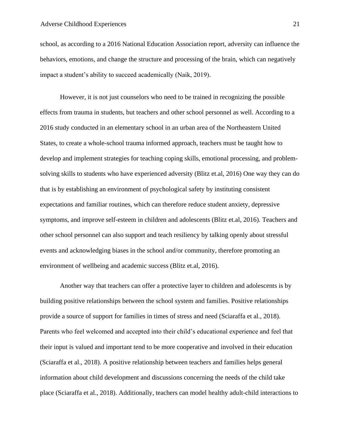school, as according to a 2016 National Education Association report, adversity can influence the behaviors, emotions, and change the structure and processing of the brain, which can negatively impact a student's ability to succeed academically (Naik, 2019).

However, it is not just counselors who need to be trained in recognizing the possible effects from trauma in students, but teachers and other school personnel as well. According to a 2016 study conducted in an elementary school in an urban area of the Northeastern United States, to create a whole-school trauma informed approach, teachers must be taught how to develop and implement strategies for teaching coping skills, emotional processing, and problemsolving skills to students who have experienced adversity (Blitz et.al, 2016) One way they can do that is by establishing an environment of psychological safety by instituting consistent expectations and familiar routines, which can therefore reduce student anxiety, depressive symptoms, and improve self-esteem in children and adolescents (Blitz et.al, 2016). Teachers and other school personnel can also support and teach resiliency by talking openly about stressful events and acknowledging biases in the school and/or community, therefore promoting an environment of wellbeing and academic success (Blitz et.al, 2016).

Another way that teachers can offer a protective layer to children and adolescents is by building positive relationships between the school system and families. Positive relationships provide a source of support for families in times of stress and need (Sciaraffa et al., 2018). Parents who feel welcomed and accepted into their child's educational experience and feel that their input is valued and important tend to be more cooperative and involved in their education (Sciaraffa et al., 2018). A positive relationship between teachers and families helps general information about child development and discussions concerning the needs of the child take place (Sciaraffa et al., 2018). Additionally, teachers can model healthy adult-child interactions to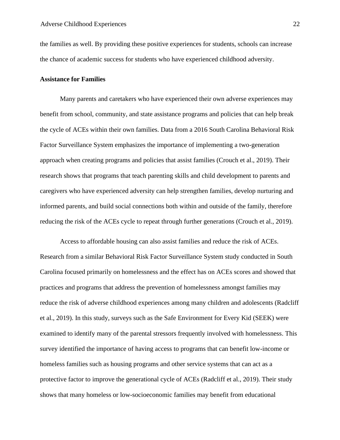the families as well. By providing these positive experiences for students, schools can increase the chance of academic success for students who have experienced childhood adversity.

#### **Assistance for Families**

Many parents and caretakers who have experienced their own adverse experiences may benefit from school, community, and state assistance programs and policies that can help break the cycle of ACEs within their own families. Data from a 2016 South Carolina Behavioral Risk Factor Surveillance System emphasizes the importance of implementing a two-generation approach when creating programs and policies that assist families (Crouch et al., 2019). Their research shows that programs that teach parenting skills and child development to parents and caregivers who have experienced adversity can help strengthen families, develop nurturing and informed parents, and build social connections both within and outside of the family, therefore reducing the risk of the ACEs cycle to repeat through further generations (Crouch et al., 2019).

Access to affordable housing can also assist families and reduce the risk of ACEs. Research from a similar Behavioral Risk Factor Surveillance System study conducted in South Carolina focused primarily on homelessness and the effect has on ACEs scores and showed that practices and programs that address the prevention of homelessness amongst families may reduce the risk of adverse childhood experiences among many children and adolescents (Radcliff et al., 2019). In this study, surveys such as the Safe Environment for Every Kid (SEEK) were examined to identify many of the parental stressors frequently involved with homelessness. This survey identified the importance of having access to programs that can benefit low-income or homeless families such as housing programs and other service systems that can act as a protective factor to improve the generational cycle of ACEs (Radcliff et al., 2019). Their study shows that many homeless or low-socioeconomic families may benefit from educational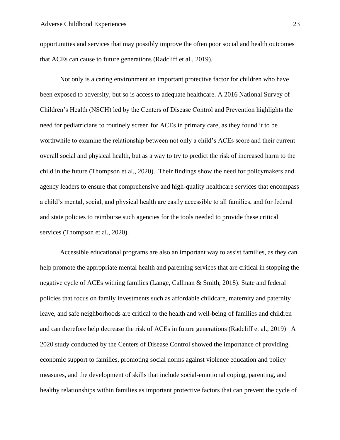opportunities and services that may possibly improve the often poor social and health outcomes that ACEs can cause to future generations (Radcliff et al., 2019).

Not only is a caring environment an important protective factor for children who have been exposed to adversity, but so is access to adequate healthcare. A 2016 National Survey of Children's Health (NSCH) led by the Centers of Disease Control and Prevention highlights the need for pediatricians to routinely screen for ACEs in primary care, as they found it to be worthwhile to examine the relationship between not only a child's ACEs score and their current overall social and physical health, but as a way to try to predict the risk of increased harm to the child in the future (Thompson et al., 2020). Their findings show the need for policymakers and agency leaders to ensure that comprehensive and high-quality healthcare services that encompass a child's mental, social, and physical health are easily accessible to all families, and for federal and state policies to reimburse such agencies for the tools needed to provide these critical services (Thompson et al., 2020).

Accessible educational programs are also an important way to assist families, as they can help promote the appropriate mental health and parenting services that are critical in stopping the negative cycle of ACEs withing families (Lange, Callinan & Smith, 2018). State and federal policies that focus on family investments such as affordable childcare, maternity and paternity leave, and safe neighborhoods are critical to the health and well-being of families and children and can therefore help decrease the risk of ACEs in future generations (Radcliff et al., 2019) A 2020 study conducted by the Centers of Disease Control showed the importance of providing economic support to families, promoting social norms against violence education and policy measures, and the development of skills that include social-emotional coping, parenting, and healthy relationships within families as important protective factors that can prevent the cycle of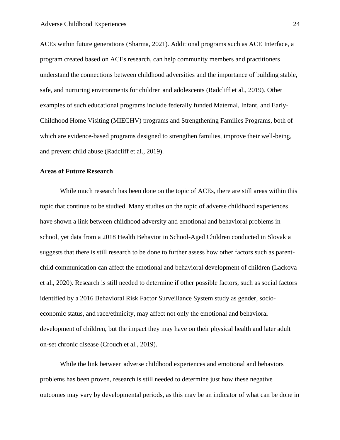ACEs within future generations (Sharma, 2021). Additional programs such as ACE Interface, a program created based on ACEs research, can help community members and practitioners understand the connections between childhood adversities and the importance of building stable, safe, and nurturing environments for children and adolescents (Radcliff et al., 2019). Other examples of such educational programs include federally funded Maternal, Infant, and Early-Childhood Home Visiting (MIECHV) programs and Strengthening Families Programs, both of which are evidence-based programs designed to strengthen families, improve their well-being, and prevent child abuse (Radcliff et al., 2019).

# **Areas of Future Research**

While much research has been done on the topic of ACEs, there are still areas within this topic that continue to be studied. Many studies on the topic of adverse childhood experiences have shown a link between childhood adversity and emotional and behavioral problems in school, yet data from a 2018 Health Behavior in School-Aged Children conducted in Slovakia suggests that there is still research to be done to further assess how other factors such as parentchild communication can affect the emotional and behavioral development of children (Lackova et al., 2020). Research is still needed to determine if other possible factors, such as social factors identified by a 2016 Behavioral Risk Factor Surveillance System study as gender, socioeconomic status, and race/ethnicity, may affect not only the emotional and behavioral development of children, but the impact they may have on their physical health and later adult on-set chronic disease (Crouch et al., 2019).

While the link between adverse childhood experiences and emotional and behaviors problems has been proven, research is still needed to determine just how these negative outcomes may vary by developmental periods, as this may be an indicator of what can be done in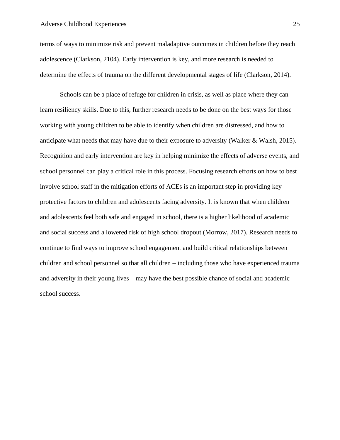terms of ways to minimize risk and prevent maladaptive outcomes in children before they reach adolescence (Clarkson, 2104). Early intervention is key, and more research is needed to determine the effects of trauma on the different developmental stages of life (Clarkson, 2014).

Schools can be a place of refuge for children in crisis, as well as place where they can learn resiliency skills. Due to this, further research needs to be done on the best ways for those working with young children to be able to identify when children are distressed, and how to anticipate what needs that may have due to their exposure to adversity (Walker & Walsh, 2015). Recognition and early intervention are key in helping minimize the effects of adverse events, and school personnel can play a critical role in this process. Focusing research efforts on how to best involve school staff in the mitigation efforts of ACEs is an important step in providing key protective factors to children and adolescents facing adversity. It is known that when children and adolescents feel both safe and engaged in school, there is a higher likelihood of academic and social success and a lowered risk of high school dropout (Morrow, 2017). Research needs to continue to find ways to improve school engagement and build critical relationships between children and school personnel so that all children – including those who have experienced trauma and adversity in their young lives – may have the best possible chance of social and academic school success.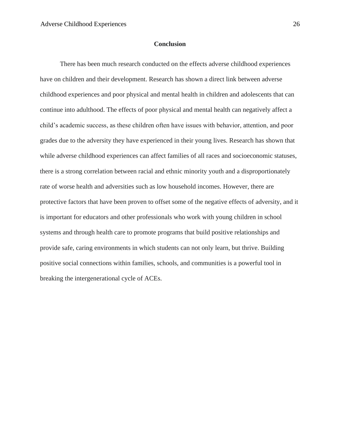#### **Conclusion**

There has been much research conducted on the effects adverse childhood experiences have on children and their development. Research has shown a direct link between adverse childhood experiences and poor physical and mental health in children and adolescents that can continue into adulthood. The effects of poor physical and mental health can negatively affect a child's academic success, as these children often have issues with behavior, attention, and poor grades due to the adversity they have experienced in their young lives. Research has shown that while adverse childhood experiences can affect families of all races and socioeconomic statuses, there is a strong correlation between racial and ethnic minority youth and a disproportionately rate of worse health and adversities such as low household incomes. However, there are protective factors that have been proven to offset some of the negative effects of adversity, and it is important for educators and other professionals who work with young children in school systems and through health care to promote programs that build positive relationships and provide safe, caring environments in which students can not only learn, but thrive. Building positive social connections within families, schools, and communities is a powerful tool in breaking the intergenerational cycle of ACEs.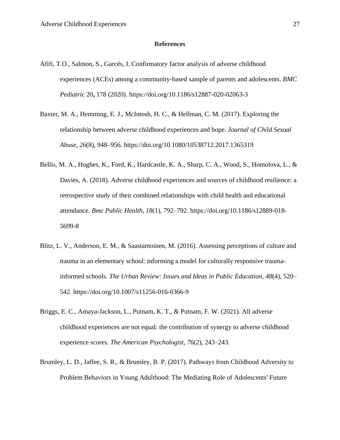#### **References**

- Afifi, T.O., Salmon, S., Garcés, I. Confirmatory factor analysis of adverse childhood experiences (ACEs) among a community-based sample of parents and adolescents. *BMC Pediatric* 20**,** 178 (2020).<https://doi.org/10.1186/s12887-020-02063-3>
- Baxter, M. A., Hemming, E. J., McIntosh, H. C., & Hellman, C. M. (2017). Exploring the relationship between adverse childhood experiences and hope. *Journal of Child Sexual Abuse*, *26*(8), 948–956. https://doi.org/10.1080/10538712.2017.1365319
- Bellis, M. A., Hughes, K., Ford, K., Hardcastle, K. A., Sharp, C. A., Wood, S., Homolova, L., & Davies, A. (2018). Adverse childhood experiences and sources of childhood resilience: a retrospective study of their combined relationships with child health and educational attendance. *Bmc Public Health*, *18*(1), 792–792. [https://doi.org/10.1186/s12889-018-](https://doi.org/10.1186/s12889-018-%095699-8) [5699-8](https://doi.org/10.1186/s12889-018-%095699-8)
- Blitz, L. V., Anderson, E. M., & Saastamoinen, M. (2016). Assessing perceptions of culture and trauma in an elementary school: informing a model for culturally responsive traumainformed schools. *The Urban Review: Issues and Ideas in Public Education*, *48*(4), 520– 542. https://doi.org/10.1007/s11256-016-0366-9
- Briggs, E. C., Amaya-Jackson, L., Putnam, K. T., & Putnam, F. W. (2021). All adverse childhood experiences are not equal: the contribution of synergy to adverse childhood experience scores. *The American Psychologist*, *76*(2), 243–243.
- Brumley, L. D., Jaffee, S. R., & Brumley, B. P. (2017). Pathways from Childhood Adversity to Problem Behaviors in Young Adulthood: The Mediating Role of Adolescents' Future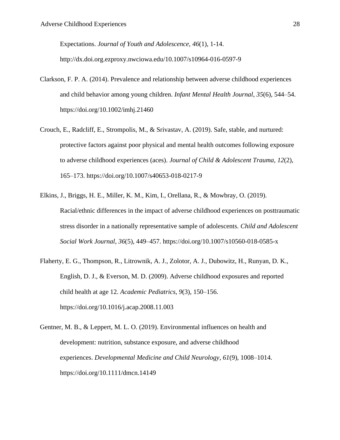Expectations. *Journal of Youth and Adolescence, 46*(1), 1-14. http://dx.doi.org.ezproxy.nwciowa.edu/10.1007/s10964-016-0597-9

- Clarkson, F. P. A. (2014). Prevalence and relationship between adverse childhood experiences and child behavior among young children. *Infant Mental Health Journal*, *35*(6), 544–54. <https://doi.org/10.1002/imhj.21460>
- Crouch, E., Radcliff, E., Strompolis, M., & Srivastav, A. (2019). Safe, stable, and nurtured: protective factors against poor physical and mental health outcomes following exposure to adverse childhood experiences (aces). *Journal of Child & Adolescent Trauma*, *12*(2), 165–173. https://doi.org/10.1007/s40653-018-0217-9
- Elkins, J., Briggs, H. E., Miller, K. M., Kim, I., Orellana, R., & Mowbray, O. (2019). Racial/ethnic differences in the impact of adverse childhood experiences on posttraumatic stress disorder in a nationally representative sample of adolescents. *Child and Adolescent Social Work Journal*, *36*(5), 449–457. https://doi.org/10.1007/s10560-018-0585-x
- Flaherty, E. G., Thompson, R., Litrownik, A. J., Zolotor, A. J., Dubowitz, H., Runyan, D. K., English, D. J., & Everson, M. D. (2009). Adverse childhood exposures and reported child health at age 12. *Academic Pediatrics*, *9*(3), 150–156. <https://doi.org/10.1016/j.acap.2008.11.003>
- Gentner, M. B., & Leppert, M. L. O. (2019). Environmental influences on health and development: nutrition, substance exposure, and adverse childhood experiences. *Developmental Medicine and Child Neurology*, *61*(9), 1008–1014. https://doi.org/10.1111/dmcn.14149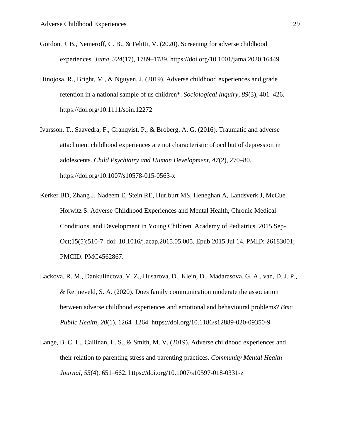- Gordon, J. B., Nemeroff, C. B., & Felitti, V. (2020). Screening for adverse childhood experiences. *Jama*, *324*(17), 1789–1789.<https://doi.org/10.1001/jama.2020.16449>
- Hinojosa, R., Bright, M., & Nguyen, J. (2019). Adverse childhood experiences and grade retention in a national sample of us children\*. *Sociological Inquiry*, *89*(3), 401–426. https://doi.org/10.1111/soin.12272
- Ivarsson, T., Saavedra, F., Granqvist, P., & Broberg, A. G. (2016). Traumatic and adverse attachment childhood experiences are not characteristic of ocd but of depression in adolescents. *Child Psychiatry and Human Development*, *47*(2), 270–80. https://doi.org/10.1007/s10578-015-0563-x
- Kerker BD, Zhang J, Nadeem E, Stein RE, Hurlburt MS, Heneghan A, Landsverk J, McCue Horwitz S. Adverse Childhood Experiences and Mental Health, Chronic Medical Conditions, and Development in Young Children. Academy of Pediatrics. 2015 Sep-Oct;15(5):510-7. doi: 10.1016/j.acap.2015.05.005. Epub 2015 Jul 14. PMID: 26183001; PMCID: PMC4562867.
- Lackova, R. M., Dankulincova, V. Z., Husarova, D., Klein, D., Madarasova, G. A., van, D. J. P., & Reijneveld, S. A. (2020). Does family communication moderate the association between adverse childhood experiences and emotional and behavioural problems? *Bmc Public Health*, *20*(1), 1264–1264. https://doi.org/10.1186/s12889-020-09350-9
- Lange, B. C. L., Callinan, L. S., & Smith, M. V. (2019). Adverse childhood experiences and their relation to parenting stress and parenting practices. *Community Mental Health Journal*, *55*(4), 651–662.<https://doi.org/10.1007/s10597-018-0331-z>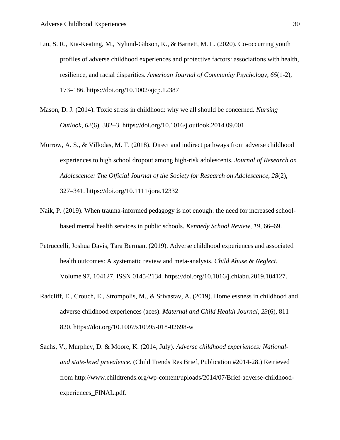- Liu, S. R., Kia-Keating, M., Nylund-Gibson, K., & Barnett, M. L. (2020). Co-occurring youth profiles of adverse childhood experiences and protective factors: associations with health, resilience, and racial disparities. *American Journal of Community Psychology*, *65*(1-2), 173–186. https://doi.org/10.1002/ajcp.12387
- Mason, D. J. (2014). Toxic stress in childhood: why we all should be concerned. *Nursing Outlook*, *62*(6), 382–3.<https://doi.org/10.1016/j.outlook.2014.09.001>
- Morrow, A. S., & Villodas, M. T. (2018). Direct and indirect pathways from adverse childhood experiences to high school dropout among high-risk adolescents. *Journal of Research on Adolescence: The Official Journal of the Society for Research on Adolescence*, *28*(2), 327–341.<https://doi.org/10.1111/jora.12332>
- Naik, P. (2019). When trauma-informed pedagogy is not enough: the need for increased schoolbased mental health services in public schools. *Kennedy School Review*, *19*, 66–69.
- Petruccelli, Joshua Davis, Tara Berman. (2019). Adverse childhood experiences and associated health outcomes: A systematic review and meta-analysis. *Child Abuse & Neglect*. Volume 97, 104127, ISSN 0145-2134. [https://doi.org/10.1016/j.chiabu.2019.104127.](https://doi.org/10.1016/j.chiabu.2019.104127)
- Radcliff, E., Crouch, E., Strompolis, M., & Srivastav, A. (2019). Homelessness in childhood and adverse childhood experiences (aces). *Maternal and Child Health Journal*, *23*(6), 811– 820. https://doi.org/10.1007/s10995-018-02698-w
- Sachs, V., Murphey, D. & Moore, K. (2014, July). *Adverse childhood experiences: Nationaland state-level prevalence*. (Child Trends Res Brief, Publication #2014-28.) Retrieved from [http://www.childtrends.org/wp-content/uploads/2014/07/Brief-adverse-childhood](http://www.childtrends.org/wp-content/uploads/2014/07/Brief-adverse-childhood-%09experiences_FINAL.pdf)[experiences\\_FINAL.pdf.](http://www.childtrends.org/wp-content/uploads/2014/07/Brief-adverse-childhood-%09experiences_FINAL.pdf)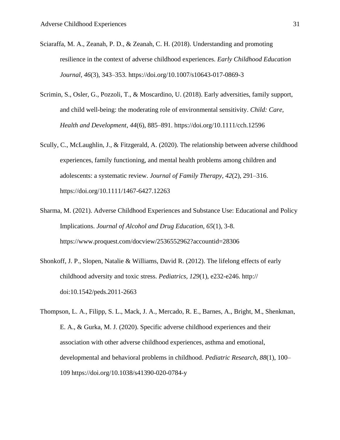- Sciaraffa, M. A., Zeanah, P. D., & Zeanah, C. H. (2018). Understanding and promoting resilience in the context of adverse childhood experiences. *Early Childhood Education Journal*, *46*(3), 343–353.<https://doi.org/10.1007/s10643-017-0869-3>
- Scrimin, S., Osler, G., Pozzoli, T., & Moscardino, U. (2018). Early adversities, family support, and child well-being: the moderating role of environmental sensitivity. *Child: Care, Health and Development*, *44*(6), 885–891.<https://doi.org/10.1111/cch.12596>
- Scully, C., McLaughlin, J., & Fitzgerald, A. (2020). The relationship between adverse childhood experiences, family functioning, and mental health problems among children and adolescents: a systematic review. *Journal of Family Therapy*, *42*(2), 291–316. https://doi.org/10.1111/1467-6427.12263
- Sharma, M. (2021). Adverse Childhood Experiences and Substance Use: Educational and Policy Implications. *Journal of Alcohol and Drug Education, 65*(1), 3-8. <https://www.proquest.com/docview/2536552962?accountid=28306>
- Shonkoff, J. P., Slopen, Natalie & Williams, David R. (2012). The lifelong effects of early childhood adversity and toxic stress. *Pediatrics, 129*(1), e232-e246. http:// doi:10.1542/peds.2011-2663
- Thompson, L. A., Filipp, S. L., Mack, J. A., Mercado, R. E., Barnes, A., Bright, M., Shenkman, E. A., & Gurka, M. J. (2020). Specific adverse childhood experiences and their association with other adverse childhood experiences, asthma and emotional, developmental and behavioral problems in childhood. *Pediatric Research*, *88*(1), 100– 109<https://doi.org/10.1038/s41390-020-0784-y>